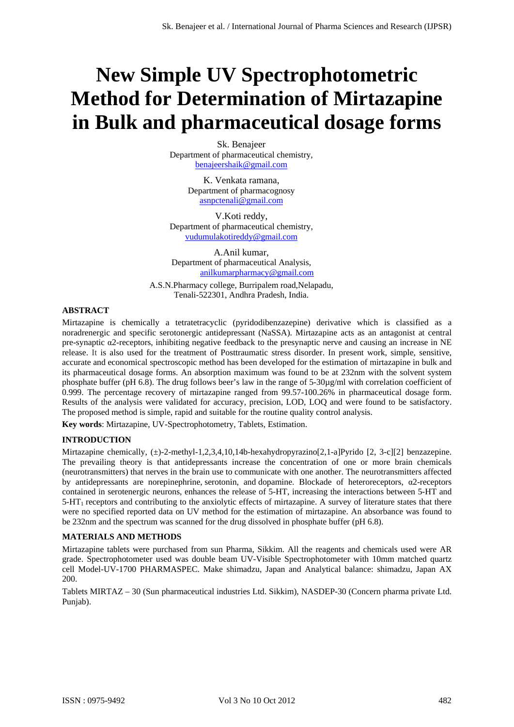# **New Simple UV Spectrophotometric Method for Determination of Mirtazapine in Bulk and pharmaceutical dosage forms**

Sk. Benajeer Department of pharmaceutical chemistry, benajeershaik@gmail.com

> K. Venkata ramana, Department of pharmacognosy asnpctenali@gmail.com

V.Koti reddy, Department of pharmaceutical chemistry, vudumulakotireddy@gmail.com

A.Anil kumar, Department of pharmaceutical Analysis, anilkumarpharmacy@gmail.com

A.S.N.Pharmacy college, Burripalem road,Nelapadu, Tenali-522301, Andhra Pradesh, India.

# **ABSTRACT**

Mirtazapine is chemically a tetratetracyclic (pyridodibenzazepine) derivative which is classified as a noradrenergic and specific serotonergic antidepressant (NaSSA). Mirtazapine acts as an antagonist at central pre-synaptic α2-receptors, inhibiting negative feedback to the presynaptic nerve and causing an increase in NE release. It is also used for the treatment of Posttraumatic stress disorder. In present work, simple, sensitive, accurate and economical spectroscopic method has been developed for the estimation of mirtazapine in bulk and its pharmaceutical dosage forms. An absorption maximum was found to be at 232nm with the solvent system phosphate buffer (pH 6.8). The drug follows beer's law in the range of 5-30µg/ml with correlation coefficient of 0.999. The percentage recovery of mirtazapine ranged from 99.57-100.26% in pharmaceutical dosage form. Results of the analysis were validated for accuracy, precision, LOD, LOQ and were found to be satisfactory. The proposed method is simple, rapid and suitable for the routine quality control analysis.

**Key words**: Mirtazapine, UV-Spectrophotometry, Tablets, Estimation.

# **INTRODUCTION**

Mirtazapine chemically, (±)-2-methyl-1,2,3,4,10,14b-hexahydropyrazino[2,1-a]Pyrido [2, 3-c][2] benzazepine. The prevailing theory is that antidepressants increase the concentration of one or more brain chemicals (neurotransmitters) that nerves in the brain use to communicate with one another. The neurotransmitters affected by antidepressants are norepinephrine, serotonin, and dopamine. Blockade of heteroreceptors, α2-receptors contained in serotenergic neurons, enhances the release of 5-HT, increasing the interactions between 5-HT and  $5-HT<sub>1</sub>$  receptors and contributing to the anxiolytic effects of mirtazapine. A survey of literature states that there were no specified reported data on UV method for the estimation of mirtazapine. An absorbance was found to be 232nm and the spectrum was scanned for the drug dissolved in phosphate buffer (pH 6.8).

# **MATERIALS AND METHODS**

Mirtazapine tablets were purchased from sun Pharma, Sikkim. All the reagents and chemicals used were AR grade. Spectrophotometer used was double beam UV-Visible Spectrophotometer with 10mm matched quartz cell Model-UV-1700 PHARMASPEC. Make shimadzu, Japan and Analytical balance: shimadzu, Japan AX 200.

Tablets MIRTAZ – 30 (Sun pharmaceutical industries Ltd. Sikkim), NASDEP-30 (Concern pharma private Ltd. Punjab).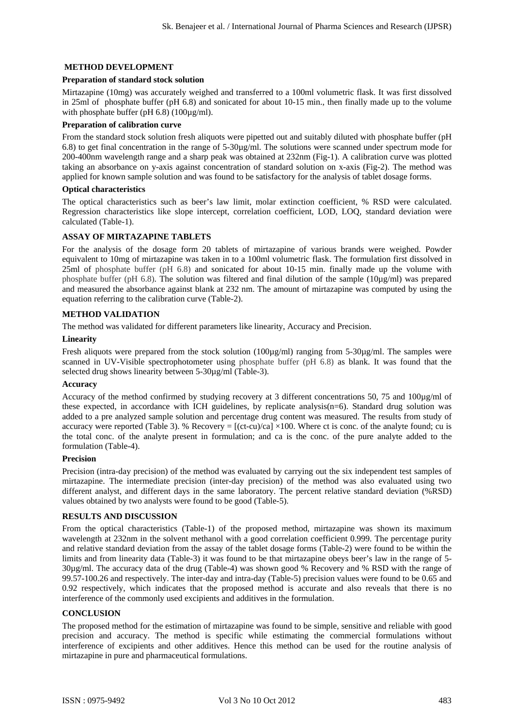# **METHOD DEVELOPMENT**

### **Preparation of standard stock solution**

Mirtazapine (10mg) was accurately weighed and transferred to a 100ml volumetric flask. It was first dissolved in 25ml of phosphate buffer (pH 6.8) and sonicated for about 10-15 min., then finally made up to the volume with phosphate buffer (pH 6.8) (100µg/ml).

# **Preparation of calibration curve**

From the standard stock solution fresh aliquots were pipetted out and suitably diluted with phosphate buffer (pH 6.8) to get final concentration in the range of 5-30µg/ml. The solutions were scanned under spectrum mode for 200-400nm wavelength range and a sharp peak was obtained at 232nm (Fig-1). A calibration curve was plotted taking an absorbance on y-axis against concentration of standard solution on x-axis (Fig-2). The method was applied for known sample solution and was found to be satisfactory for the analysis of tablet dosage forms.

#### **Optical characteristics**

The optical characteristics such as beer's law limit, molar extinction coefficient, % RSD were calculated. Regression characteristics like slope intercept, correlation coefficient, LOD, LOQ, standard deviation were calculated (Table-1).

# **ASSAY OF MIRTAZAPINE TABLETS**

For the analysis of the dosage form 20 tablets of mirtazapine of various brands were weighed. Powder equivalent to 10mg of mirtazapine was taken in to a 100ml volumetric flask. The formulation first dissolved in 25ml of phosphate buffer (pH 6.8) and sonicated for about 10-15 min. finally made up the volume with phosphate buffer (pH 6.8). The solution was filtered and final dilution of the sample (10µg/ml) was prepared and measured the absorbance against blank at 232 nm. The amount of mirtazapine was computed by using the equation referring to the calibration curve (Table-2).

#### **METHOD VALIDATION**

The method was validated for different parameters like linearity, Accuracy and Precision.

#### **Linearity**

Fresh aliquots were prepared from the stock solution (100µg/ml) ranging from 5-30µg/ml. The samples were scanned in UV-Visible spectrophotometer using phosphate buffer (pH 6.8) as blank. It was found that the selected drug shows linearity between 5-30µg/ml (Table-3).

#### **Accuracy**

Accuracy of the method confirmed by studying recovery at 3 different concentrations 50, 75 and 100µg/ml of these expected, in accordance with ICH guidelines, by replicate analysis(n=6). Standard drug solution was added to a pre analyzed sample solution and percentage drug content was measured. The results from study of accuracy were reported (Table 3). % Recovery =  $[(ct-cu)/ca] \times 100$ . Where ct is conc. of the analyte found; cu is the total conc. of the analyte present in formulation; and ca is the conc. of the pure analyte added to the formulation (Table-4).

# **Precision**

Precision (intra-day precision) of the method was evaluated by carrying out the six independent test samples of mirtazapine. The intermediate precision (inter-day precision) of the method was also evaluated using two different analyst, and different days in the same laboratory. The percent relative standard deviation (%RSD) values obtained by two analysts were found to be good (Table-5).

# **RESULTS AND DISCUSSION**

From the optical characteristics (Table-1) of the proposed method, mirtazapine was shown its maximum wavelength at 232nm in the solvent methanol with a good correlation coefficient 0.999. The percentage purity and relative standard deviation from the assay of the tablet dosage forms (Table-2) were found to be within the limits and from linearity data (Table-3) it was found to be that mirtazapine obeys beer's law in the range of 5- 30µg/ml. The accuracy data of the drug (Table-4) was shown good % Recovery and % RSD with the range of 99.57-100.26 and respectively. The inter-day and intra-day (Table-5) precision values were found to be 0.65 and 0.92 respectively, which indicates that the proposed method is accurate and also reveals that there is no interference of the commonly used excipients and additives in the formulation.

#### **CONCLUSION**

The proposed method for the estimation of mirtazapine was found to be simple, sensitive and reliable with good precision and accuracy. The method is specific while estimating the commercial formulations without interference of excipients and other additives. Hence this method can be used for the routine analysis of mirtazapine in pure and pharmaceutical formulations.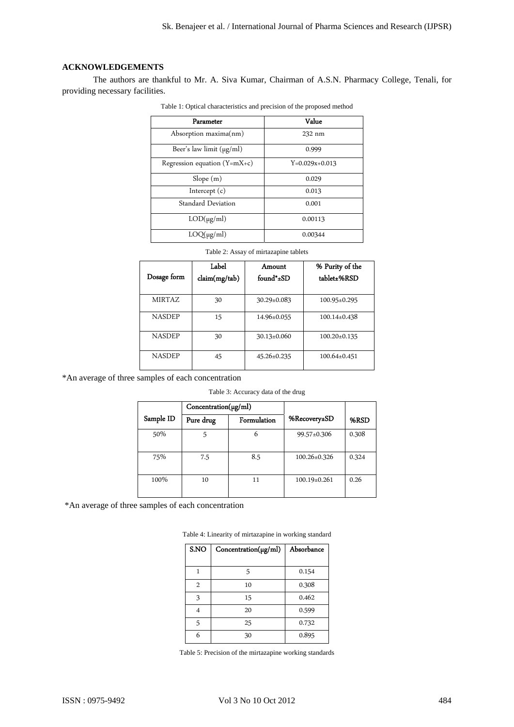# **ACKNOWLEDGEMENTS**

The authors are thankful to Mr. A. Siva Kumar, Chairman of A.S.N. Pharmacy College, Tenali, for providing necessary facilities.

| Parameter                      | Value            |
|--------------------------------|------------------|
| Absorption maxima(nm)          | 232 nm           |
| Beer's law limit $(\mu g/ml)$  | 0.999            |
| Regression equation $(Y=mX+c)$ | $Y=0.029x+0.013$ |
| Slope(m)                       | 0.029            |
| Intercept $(c)$                | 0.013            |
| Standard Deviation             | 0.001            |
| $LOD(\mu g/ml)$                | 0.00113          |
| $LOQ(\mu g/ml)$                | 0.00344          |

Table 1: Optical characteristics and precision of the proposed method

| Table 2: Assay of mirtazapine tablets |  |
|---------------------------------------|--|
|---------------------------------------|--|

|               | Label         | Amount            | % Purity of the    |
|---------------|---------------|-------------------|--------------------|
| Dosage form   | claim(mg/tab) | found*±SD         | tablet±%RSD        |
|               |               |                   |                    |
| <b>MIRTAZ</b> | 30            | $30.29 \pm 0.083$ | 100.95±0.295       |
| <b>NASDEP</b> | 15            | 14.96±0.055       | $100.14 \pm 0.438$ |
| <b>NASDEP</b> | 30            | $30.13 \pm 0.060$ | $100.20 \pm 0.135$ |
| <b>NASDEP</b> | 45            | $45.26 \pm 0.235$ | 100.64±0.451       |

\*An average of three samples of each concentration

Table 3: Accuracy data of the drug

|           | $Concentration(\mu g/ml)$ |             |                    |       |
|-----------|---------------------------|-------------|--------------------|-------|
| Sample ID | Pure drug                 | Formulation | %Recovery±SD       | %RSD  |
| 50%       |                           | 6           | 99.57±0.306        | 0.308 |
| 75%       | 7.5                       | 8.5         | 100.26±0.326       | 0.324 |
| 100%      | 10                        | 11          | $100.19 \pm 0.261$ | 0.26  |

\*An average of three samples of each concentration

| S.NO | $Concentration(\mu g/ml)$ | Absorbance |
|------|---------------------------|------------|
|      | 5                         | 0.154      |
| 2    | 10                        | 0.308      |
| 3    | 15                        | 0.462      |
| 4    | 20                        | 0.599      |
| 5    | 25                        | 0.732      |
| 6    | 30                        | 0.895      |

Table 4: Linearity of mirtazapine in working standard

Table 5: Precision of the mirtazapine working standards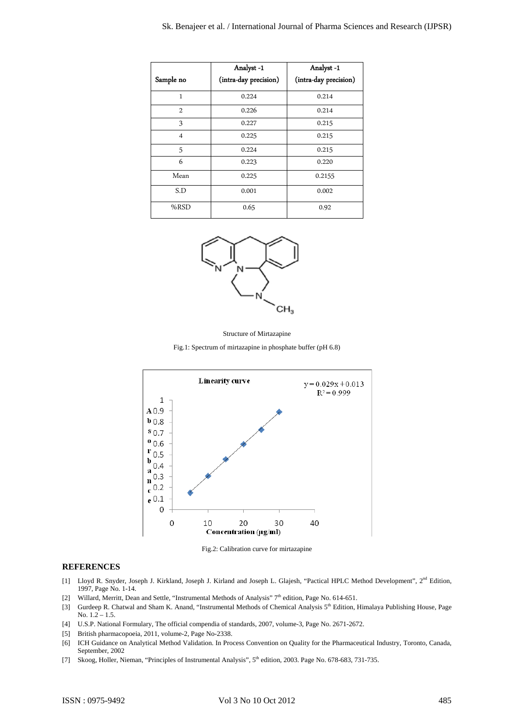|                | Analyst-1             | Analyst-1             |
|----------------|-----------------------|-----------------------|
| Sample no      | (intra-day precision) | (intra-day precision) |
| 1              | 0.224                 | 0.214                 |
| $\overline{2}$ | 0.226                 | 0.214                 |
| 3              | 0.227                 | 0.215                 |
| $\overline{4}$ | 0.225                 | 0.215                 |
| 5              | 0.224                 | 0.215                 |
| 6              | 0.223                 | 0.220                 |
| Mean           | 0.225                 | 0.2155                |
| S.D            | 0.001                 | 0.002                 |
| $%$ RSD        | 0.65                  | 0.92                  |



Structure of Mirtazapine

Fig.1: Spectrum of mirtazapine in phosphate buffer (pH 6.8)



Fig.2: Calibration curve for mirtazapine

#### **REFERENCES**

- [1] Lloyd R. Snyder, Joseph J. Kirkland, Joseph J. Kirland and Joseph L. Glajesh, "Pactical HPLC Method Development", 2<sup>nd</sup> Edition, 1997, Page No. 1-14.
- [2] Willard, Merritt, Dean and Settle, "Instrumental Methods of Analysis" 7<sup>th</sup> edition, Page No. 614-651.
- [3] Gurdeep R. Chatwal and Sham K. Anand, "Instrumental Methods of Chemical Analysis 5th Edition, Himalaya Publishing House, Page No.  $1.2 - 1.5$ .
- [4] U.S.P. National Formulary, The official compendia of standards, 2007, volume-3, Page No. 2671-2672.
- [5] British pharmacopoeia, 2011, volume-2, Page No-2338.
- [6] ICH Guidance on Analytical Method Validation. In Process Convention on Quality for the Pharmaceutical Industry, Toronto, Canada, September, 2002
- [7] Skoog, Holler, Nieman, "Principles of Instrumental Analysis", 5th edition, 2003. Page No. 678-683, 731-735.